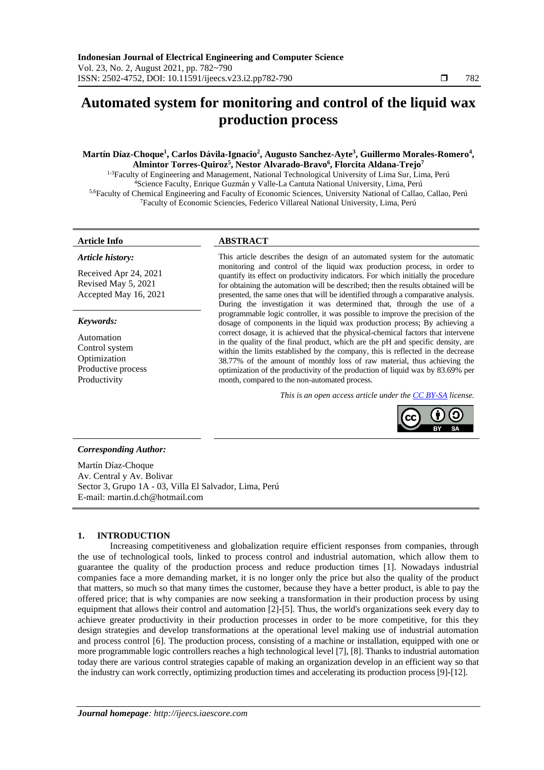# **Automated system for monitoring and control of the liquid wax production process**

# **Martín Díaz-Choque<sup>1</sup> , Carlos Dávila-Ignacio<sup>2</sup> , Augusto Sanchez-Ayte<sup>3</sup> , Guillermo Morales-Romero<sup>4</sup> , Almintor Torres-Quiroz<sup>5</sup> , Nestor Alvarado-Bravo<sup>6</sup> , Florcita Aldana-Trejo<sup>7</sup>**

<sup>1-3</sup>Faculty of Engineering and Management, National Technological University of Lima Sur, Lima, Perú <sup>4</sup>Science Faculty, Enrique Guzmán y Valle-La Cantuta National University, Lima, Perú 5,6Faculty of Chemical Engineering and Faculty of Economic Sciences, University National of Callao, Callao, Perú <sup>7</sup>Faculty of Economic Sciencies, Federico Villareal National University, Lima, Perú

# *Article history:*

Received Apr 24, 2021 Revised May 5, 2021 Accepted May 16, 2021

#### *Keywords:*

Automation Control system Optimization Productive process Productivity

# **Article Info ABSTRACT**

This article describes the design of an automated system for the automatic monitoring and control of the liquid wax production process, in order to quantify its effect on productivity indicators. For which initially the procedure for obtaining the automation will be described; then the results obtained will be presented, the same ones that will be identified through a comparative analysis. During the investigation it was determined that, through the use of a programmable logic controller, it was possible to improve the precision of the dosage of components in the liquid wax production process; By achieving a correct dosage, it is achieved that the physical-chemical factors that intervene in the quality of the final product, which are the pH and specific density, are within the limits established by the company, this is reflected in the decrease 38.77% of the amount of monthly loss of raw material, thus achieving the optimization of the productivity of the production of liquid wax by 83.69% per month, compared to the non-automated process.

*This is an open access article under the [CC BY-SA](https://creativecommons.org/licenses/by-sa/4.0/) license.*



### *Corresponding Author:*

Martín Díaz-Choque Av. Central y Av. Bolivar Sector 3, Grupo 1A - 03, Villa El Salvador, Lima, Perú E-mail: martin.d.ch@hotmail.com

### **1. INTRODUCTION**

Increasing competitiveness and globalization require efficient responses from companies, through the use of technological tools, linked to process control and industrial automation, which allow them to guarantee the quality of the production process and reduce production times [1]. Nowadays industrial companies face a more demanding market, it is no longer only the price but also the quality of the product that matters, so much so that many times the customer, because they have a better product, is able to pay the offered price; that is why companies are now seeking a transformation in their production process by using equipment that allows their control and automation [2]-[5]. Thus, the world's organizations seek every day to achieve greater productivity in their production processes in order to be more competitive, for this they design strategies and develop transformations at the operational level making use of industrial automation and process control [6]. The production process, consisting of a machine or installation, equipped with one or more programmable logic controllers reaches a high technological level [7], [8]. Thanks to industrial automation today there are various control strategies capable of making an organization develop in an efficient way so that the industry can work correctly, optimizing production times and accelerating its production process [9]-[12].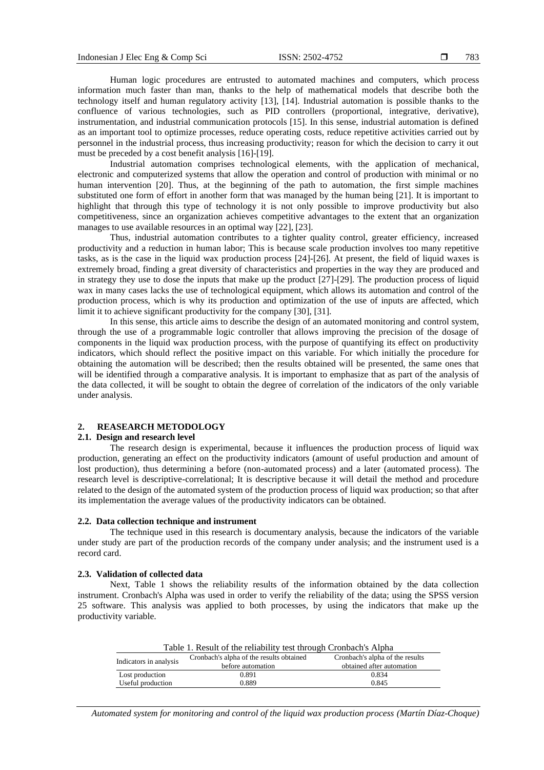Human logic procedures are entrusted to automated machines and computers, which process information much faster than man, thanks to the help of mathematical models that describe both the technology itself and human regulatory activity [13], [14]. Industrial automation is possible thanks to the confluence of various technologies, such as PID controllers (proportional, integrative, derivative), instrumentation, and industrial communication protocols [15]. In this sense, industrial automation is defined as an important tool to optimize processes, reduce operating costs, reduce repetitive activities carried out by personnel in the industrial process, thus increasing productivity; reason for which the decision to carry it out must be preceded by a cost benefit analysis [16]-[19].

Industrial automation comprises technological elements, with the application of mechanical, electronic and computerized systems that allow the operation and control of production with minimal or no human intervention [20]. Thus, at the beginning of the path to automation, the first simple machines substituted one form of effort in another form that was managed by the human being [21]. It is important to highlight that through this type of technology it is not only possible to improve productivity but also competitiveness, since an organization achieves competitive advantages to the extent that an organization manages to use available resources in an optimal way [22], [23].

Thus, industrial automation contributes to a tighter quality control, greater efficiency, increased productivity and a reduction in human labor; This is because scale production involves too many repetitive tasks, as is the case in the liquid wax production process [24]-[26]. At present, the field of liquid waxes is extremely broad, finding a great diversity of characteristics and properties in the way they are produced and in strategy they use to dose the inputs that make up the product [27]-[29]. The production process of liquid wax in many cases lacks the use of technological equipment, which allows its automation and control of the production process, which is why its production and optimization of the use of inputs are affected, which limit it to achieve significant productivity for the company [30], [31].

In this sense, this article aims to describe the design of an automated monitoring and control system, through the use of a programmable logic controller that allows improving the precision of the dosage of components in the liquid wax production process, with the purpose of quantifying its effect on productivity indicators, which should reflect the positive impact on this variable. For which initially the procedure for obtaining the automation will be described; then the results obtained will be presented, the same ones that will be identified through a comparative analysis. It is important to emphasize that as part of the analysis of the data collected, it will be sought to obtain the degree of correlation of the indicators of the only variable under analysis.

# **2. REASEARCH METODOLOGY**

### **2.1. Design and research level**

The research design is experimental, because it influences the production process of liquid wax production, generating an effect on the productivity indicators (amount of useful production and amount of lost production), thus determining a before (non-automated process) and a later (automated process). The research level is descriptive-correlational; It is descriptive because it will detail the method and procedure related to the design of the automated system of the production process of liquid wax production; so that after its implementation the average values of the productivity indicators can be obtained.

# **2.2. Data collection technique and instrument**

The technique used in this research is documentary analysis, because the indicators of the variable under study are part of the production records of the company under analysis; and the instrument used is a record card.

#### **2.3. Validation of collected data**

Next, Table 1 shows the reliability results of the information obtained by the data collection instrument. Cronbach's Alpha was used in order to verify the reliability of the data; using the SPSS version 25 software. This analysis was applied to both processes, by using the indicators that make up the productivity variable.

| Table 1. Result of the reliability test through Cronbach's Alpha |                                          |                                 |  |  |  |
|------------------------------------------------------------------|------------------------------------------|---------------------------------|--|--|--|
| Indicators in analysis                                           | Cronbach's alpha of the results obtained | Cronbach's alpha of the results |  |  |  |
|                                                                  | before automation                        | obtained after automation       |  |  |  |
| Lost production                                                  | 0.891                                    | 0.834                           |  |  |  |
| Useful production                                                | 0.889                                    | 0.845                           |  |  |  |
|                                                                  |                                          |                                 |  |  |  |

*Automated system for monitoring and control of the liquid wax production process (Martín Díaz-Choque)*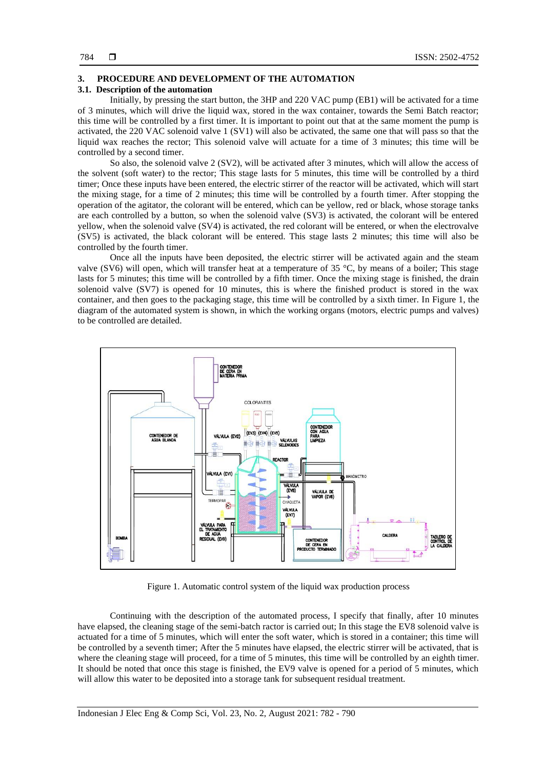#### **3. PROCEDURE AND DEVELOPMENT OF THE AUTOMATION**

# **3.1. Description of the automation**

Initially, by pressing the start button, the 3HP and 220 VAC pump (EB1) will be activated for a time of 3 minutes, which will drive the liquid wax, stored in the wax container, towards the Semi Batch reactor; this time will be controlled by a first timer. It is important to point out that at the same moment the pump is activated, the 220 VAC solenoid valve 1 (SV1) will also be activated, the same one that will pass so that the liquid wax reaches the rector; This solenoid valve will actuate for a time of 3 minutes; this time will be controlled by a second timer.

So also, the solenoid valve 2 (SV2), will be activated after 3 minutes, which will allow the access of the solvent (soft water) to the rector; This stage lasts for 5 minutes, this time will be controlled by a third timer; Once these inputs have been entered, the electric stirrer of the reactor will be activated, which will start the mixing stage, for a time of 2 minutes; this time will be controlled by a fourth timer. After stopping the operation of the agitator, the colorant will be entered, which can be yellow, red or black, whose storage tanks are each controlled by a button, so when the solenoid valve (SV3) is activated, the colorant will be entered yellow, when the solenoid valve (SV4) is activated, the red colorant will be entered, or when the electrovalve (SV5) is activated, the black colorant will be entered. This stage lasts 2 minutes; this time will also be controlled by the fourth timer.

Once all the inputs have been deposited, the electric stirrer will be activated again and the steam valve (SV6) will open, which will transfer heat at a temperature of 35  $\degree$ C, by means of a boiler; This stage lasts for 5 minutes; this time will be controlled by a fifth timer. Once the mixing stage is finished, the drain solenoid valve (SV7) is opened for 10 minutes, this is where the finished product is stored in the wax container, and then goes to the packaging stage, this time will be controlled by a sixth timer. In Figure 1, the diagram of the automated system is shown, in which the working organs (motors, electric pumps and valves) to be controlled are detailed.



Figure 1. Automatic control system of the liquid wax production process

Continuing with the description of the automated process, I specify that finally, after 10 minutes have elapsed, the cleaning stage of the semi-batch ractor is carried out; In this stage the EV8 solenoid valve is actuated for a time of 5 minutes, which will enter the soft water, which is stored in a container; this time will be controlled by a seventh timer; After the 5 minutes have elapsed, the electric stirrer will be activated, that is where the cleaning stage will proceed, for a time of 5 minutes, this time will be controlled by an eighth timer. It should be noted that once this stage is finished, the EV9 valve is opened for a period of 5 minutes, which will allow this water to be deposited into a storage tank for subsequent residual treatment.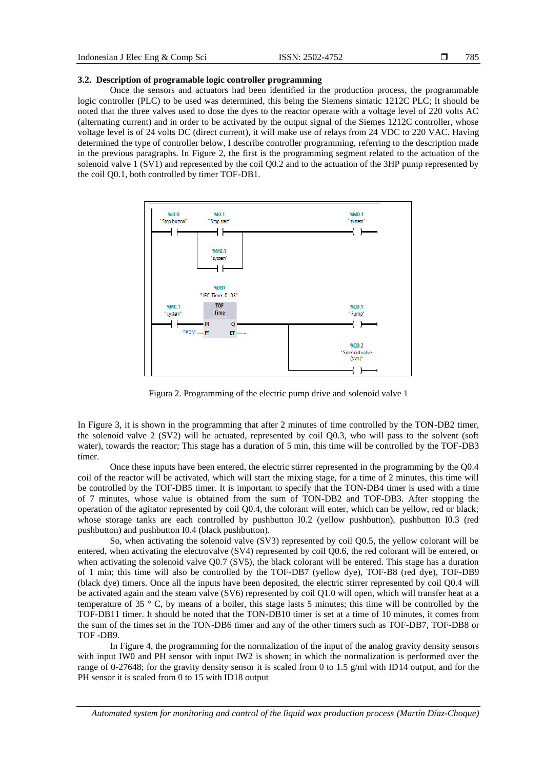#### **3.2. Description of programable logic controller programming**

Once the sensors and actuators had been identified in the production process, the programmable logic controller (PLC) to be used was determined, this being the Siemens simatic 1212C PLC; It should be noted that the three valves used to dose the dyes to the reactor operate with a voltage level of 220 volts AC (alternating current) and in order to be activated by the output signal of the Siemes 1212C controller, whose voltage level is of 24 volts DC (direct current), it will make use of relays from 24 VDC to 220 VAC. Having determined the type of controller below, I describe controller programming, referring to the description made in the previous paragraphs. In Figure 2, the first is the programming segment related to the actuation of the solenoid valve 1 (SV1) and represented by the coil Q0.2 and to the actuation of the 3HP pump represented by the coil Q0.1, both controlled by timer TOF-DB1.



Figura 2. Programming of the electric pump drive and solenoid valve 1

In Figure 3, it is shown in the programming that after 2 minutes of time controlled by the TON-DB2 timer, the solenoid valve 2 (SV2) will be actuated, represented by coil Q0.3, who will pass to the solvent (soft water), towards the reactor; This stage has a duration of 5 min, this time will be controlled by the TOF-DB3 timer.

Once these inputs have been entered, the electric stirrer represented in the programming by the Q0.4 coil of the reactor will be activated, which will start the mixing stage, for a time of 2 minutes, this time will be controlled by the TOF-DB5 timer. It is important to specify that the TON-DB4 timer is used with a time of 7 minutes, whose value is obtained from the sum of TON-DB2 and TOF-DB3. After stopping the operation of the agitator represented by coil Q0.4, the colorant will enter, which can be yellow, red or black; whose storage tanks are each controlled by pushbutton I0.2 (yellow pushbutton), pushbutton I0.3 (red pushbutton) and pushbutton I0.4 (black pushbutton).

So, when activating the solenoid valve (SV3) represented by coil Q0.5, the yellow colorant will be entered, when activating the electrovalve (SV4) represented by coil Q0.6, the red colorant will be entered, or when activating the solenoid valve Q0.7 (SV5), the black colorant will be entered. This stage has a duration of 1 min; this time will also be controlled by the TOF-DB7 (yellow dye), TOF-B8 (red dye), TOF-DB9 (black dye) timers. Once all the inputs have been deposited, the electric stirrer represented by coil Q0.4 will be activated again and the steam valve (SV6) represented by coil Q1.0 will open, which will transfer heat at a temperature of 35 ° C, by means of a boiler, this stage lasts 5 minutes; this time will be controlled by the TOF-DB11 timer. It should be noted that the TON-DB10 timer is set at a time of 10 minutes, it comes from the sum of the times set in the TON-DB6 timer and any of the other timers such as TOF-DB7, TOF-DB8 or TOF -DB9.

In Figure 4, the programming for the normalization of the input of the analog gravity density sensors with input IW0 and PH sensor with input IW2 is shown; in which the normalization is performed over the range of 0-27648; for the gravity density sensor it is scaled from 0 to 1.5 g/ml with ID14 output, and for the PH sensor it is scaled from 0 to 15 with ID18 output

*Automated system for monitoring and control of the liquid wax production process (Martín Díaz-Choque)*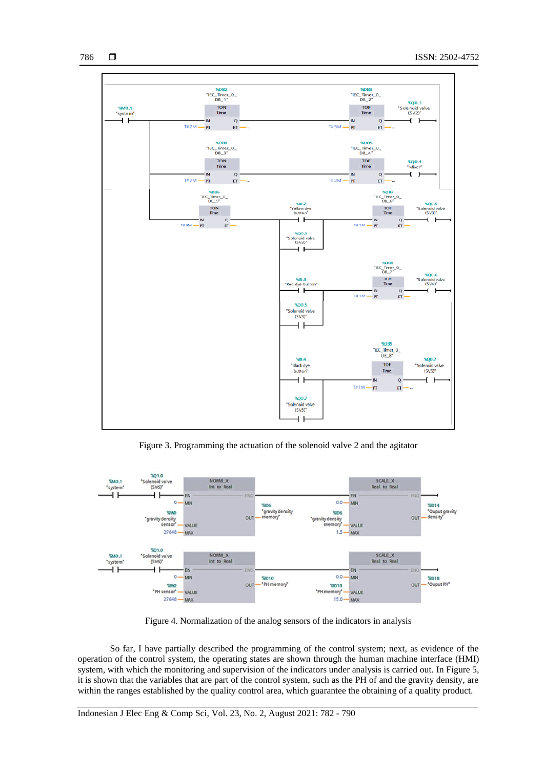

Figure 3. Programming the actuation of the solenoid valve 2 and the agitator



Figure 4. Normalization of the analog sensors of the indicators in analysis

So far, I have partially described the programming of the control system; next, as evidence of the operation of the control system, the operating states are shown through the human machine interface (HMI) system, with which the monitoring and supervision of the indicators under analysis is carried out. In Figure 5, it is shown that the variables that are part of the control system, such as the PH of and the gravity density, are within the ranges established by the quality control area, which guarantee the obtaining of a quality product.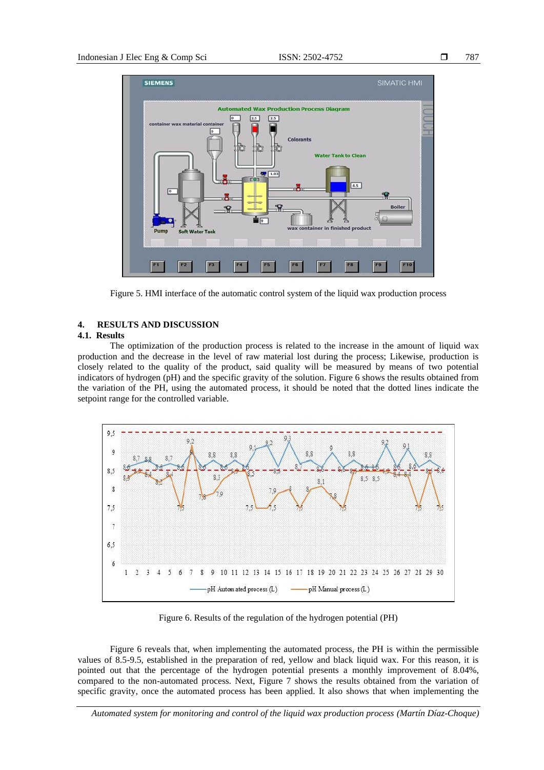

Figure 5. HMI interface of the automatic control system of the liquid wax production process

# **4. RESULTS AND DISCUSSION**

# **4.1. Results**

The optimization of the production process is related to the increase in the amount of liquid wax production and the decrease in the level of raw material lost during the process; Likewise, production is closely related to the quality of the product, said quality will be measured by means of two potential indicators of hydrogen (pH) and the specific gravity of the solution. Figure 6 shows the results obtained from the variation of the PH, using the automated process, it should be noted that the dotted lines indicate the setpoint range for the controlled variable.



Figure 6. Results of the regulation of the hydrogen potential (PH)

Figure 6 reveals that, when implementing the automated process, the PH is within the permissible values of 8.5-9.5, established in the preparation of red, yellow and black liquid wax. For this reason, it is pointed out that the percentage of the hydrogen potential presents a monthly improvement of 8.04%, compared to the non-automated process. Next, Figure 7 shows the results obtained from the variation of specific gravity, once the automated process has been applied. It also shows that when implementing the

*Automated system for monitoring and control of the liquid wax production process (Martín Díaz-Choque)*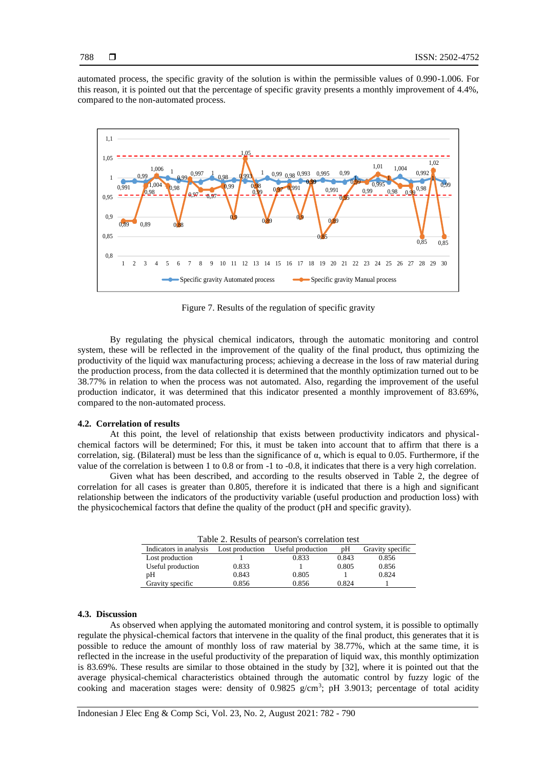788

automated process, the specific gravity of the solution is within the permissible values of 0.990-1.006. For this reason, it is pointed out that the percentage of specific gravity presents a monthly improvement of 4.4%, compared to the non-automated process.



Figure 7. Results of the regulation of specific gravity

By regulating the physical chemical indicators, through the automatic monitoring and control system, these will be reflected in the improvement of the quality of the final product, thus optimizing the productivity of the liquid wax manufacturing process; achieving a decrease in the loss of raw material during the production process, from the data collected it is determined that the monthly optimization turned out to be 38.77% in relation to when the process was not automated. Also, regarding the improvement of the useful production indicator, it was determined that this indicator presented a monthly improvement of 83.69%, compared to the non-automated process.

### **4.2. Correlation of results**

At this point, the level of relationship that exists between productivity indicators and physicalchemical factors will be determined; For this, it must be taken into account that to affirm that there is a correlation, sig. (Bilateral) must be less than the significance of α, which is equal to 0.05. Furthermore, if the value of the correlation is between 1 to 0.8 or from -1 to -0.8, it indicates that there is a very high correlation.

Given what has been described, and according to the results observed in Table 2, the degree of correlation for all cases is greater than 0.805, therefore it is indicated that there is a high and significant relationship between the indicators of the productivity variable (useful production and production loss) with the physicochemical factors that define the quality of the product (pH and specific gravity).

| Table 2. Results of pearson's correlation test |                 |                   |       |                  |  |
|------------------------------------------------|-----------------|-------------------|-------|------------------|--|
| Indicators in analysis                         | Lost production | Useful production | pΗ    | Gravity specific |  |
| Lost production                                |                 | 0.833             | 0.843 | 0.856            |  |
| Useful production                              | 0.833           |                   | 0.805 | 0.856            |  |
| pΗ                                             | 0.843           | 0.805             |       | 0.824            |  |
| Gravity specific                               | 0.856           | 0.856             | 0.824 |                  |  |

# **4.3. Discussion**

As observed when applying the automated monitoring and control system, it is possible to optimally regulate the physical-chemical factors that intervene in the quality of the final product, this generates that it is possible to reduce the amount of monthly loss of raw material by 38.77%, which at the same time, it is reflected in the increase in the useful productivity of the preparation of liquid wax, this monthly optimization is 83.69%. These results are similar to those obtained in the study by [32], where it is pointed out that the average physical-chemical characteristics obtained through the automatic control by fuzzy logic of the cooking and maceration stages were: density of  $0.9825$  g/cm<sup>3</sup>; pH 3.9013; percentage of total acidity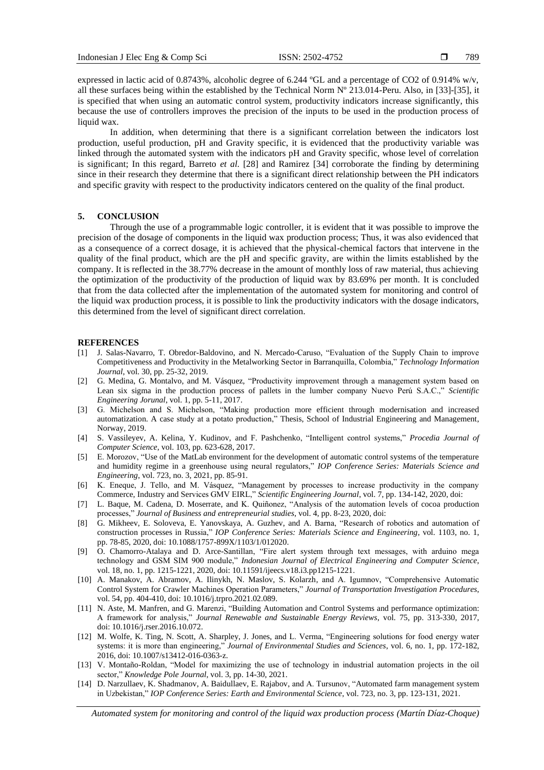789

expressed in lactic acid of 0.8743%, alcoholic degree of 6.244 ºGL and a percentage of CO2 of 0.914% w/v, all these surfaces being within the established by the Technical Norm Nº 213.014-Peru. Also, in [33]-[35], it is specified that when using an automatic control system, productivity indicators increase significantly, this because the use of controllers improves the precision of the inputs to be used in the production process of liquid wax.

In addition, when determining that there is a significant correlation between the indicators lost production, useful production, pH and Gravity specific, it is evidenced that the productivity variable was linked through the automated system with the indicators pH and Gravity specific, whose level of correlation is significant; In this regard, Barreto *et al.* [28] and Ramirez [34] corroborate the finding by determining since in their research they determine that there is a significant direct relationship between the PH indicators and specific gravity with respect to the productivity indicators centered on the quality of the final product.

# **5. CONCLUSION**

Through the use of a programmable logic controller, it is evident that it was possible to improve the precision of the dosage of components in the liquid wax production process; Thus, it was also evidenced that as a consequence of a correct dosage, it is achieved that the physical-chemical factors that intervene in the quality of the final product, which are the pH and specific gravity, are within the limits established by the company. It is reflected in the 38.77% decrease in the amount of monthly loss of raw material, thus achieving the optimization of the productivity of the production of liquid wax by 83.69% per month. It is concluded that from the data collected after the implementation of the automated system for monitoring and control of the liquid wax production process, it is possible to link the productivity indicators with the dosage indicators, this determined from the level of significant direct correlation.

#### **REFERENCES**

- [1] J. Salas-Navarro, T. Obredor-Baldovino, and N. Mercado-Caruso, "Evaluation of the Supply Chain to improve Competitiveness and Productivity in the Metalworking Sector in Barranquilla, Colombia," *Technology Information Journal*, vol. 30, pp. 25-32, 2019.
- [2] G. Medina, G. Montalvo, and M. Vásquez, "Productivity improvement through a management system based on Lean six sigma in the production process of pallets in the lumber company Nuevo Perú S.A.C.," *Scientific Engineering Jorunal*, vol. 1, pp. 5-11, 2017.
- [3] G. Michelson and S. Michelson, "Making production more efficient through modernisation and increased automatization. A case study at a potato production," Thesis, School of Industrial Engineering and Management, Norway, 2019.
- [4] S. Vassileyev, A. Kelina, Y. Kudinov, and F. Pashchenko, "Intelligent control systems," *Procedia Journal of Computer Science*, vol. 103, pp. 623-628, 2017.
- [5] E. Morozov, "Use of the MatLab environment for the development of automatic control systems of the temperature and humidity regime in a greenhouse using neural regulators," *IOP Conference Series: Materials Science and Engineering*, vol. 723, no. 3, 2021, pp. 85-91.
- [6] K. Eneque, J. Tello, and M. Vásquez, "Management by processes to increase productivity in the company Commerce, Industry and Services GMV EIRL," *Scientific Engineering Journal*, vol. 7, pp. 134-142, 2020, doi:
- [7] L. Baque, M. Cadena, D. Moserrate, and K. Quiñonez, "Analysis of the automation levels of cocoa production processes," *Journal of Business and entrepreneurial studies*, vol. 4, pp. 8-23, 2020, doi:
- [8] G. Mikheev, E. Soloveva, E. Yanovskaya, A. Guzhev, and A. Barna, "Research of robotics and automation of construction processes in Russia," *IOP Conference Series: Materials Science and Engineering*, vol. 1103, no. 1, pp. 78-85, 2020, doi: 10.1088/1757-899X/1103/1/012020.
- [9] O. Chamorro-Atalaya and D. Arce-Santillan, "Fire alert system through text messages, with arduino mega technology and GSM SIM 900 module," *Indonesian Journal of Electrical Engineering and Computer Science*, vol. 18, no. 1, pp. 1215-1221, 2020, doi: 10.11591/ijeecs.v18.i3.pp1215-1221.
- [10] A. Manakov, A. Abramov, A. Ilinykh, N. Maslov, S. Kolarzh, and A. Igumnov, "Comprehensive Automatic Control System for Crawler Machines Operation Parameters," *Journal of Transportation Investigation Procedures*, vol. 54, pp. 404-410, doi: 10.1016/j.trpro.2021.02.089.
- [11] N. Aste, M. Manfren, and G. Marenzi, "Building Automation and Control Systems and performance optimization: A framework for analysis," *Journal Renewable and Sustainable Energy Reviews*, vol. 75, pp. 313-330, 2017, doi: 10.1016/j.rser.2016.10.072.
- [12] M. Wolfe, K. Ting, N. Scott, A. Sharpley, J. Jones, and L. Verma, "Engineering solutions for food energy water systems: it is more than engineering," *Journal of Environmental Studies and Sciences*, vol. 6, no. 1, pp. 172-182, 2016, doi: 10.1007/s13412-016-0363-z.
- [13] V. Montaño-Roldan, "Model for maximizing the use of technology in industrial automation projects in the oil sector," *Knowledge Pole Journal*, vol. 3, pp. 14-30, 2021.
- [14] D. Narzullaev, K. Shadmanov, A. Baidullaev, E. Rajabov, and A. Tursunov, "Automated farm management system in Uzbekistan," *IOP Conference Series: Earth and Environmental Science*, vol. 723, no. 3, pp. 123-131, 2021.